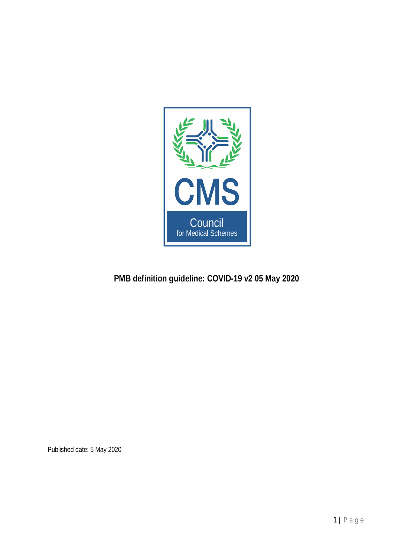

# **PMB definition guideline: COVID-19 v2 05 May 2020**

Published date: 5 May 2020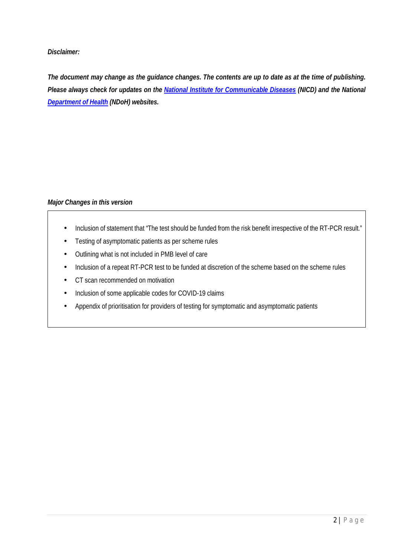*Disclaimer:*

*The document may change as the guidance changes. The contents are up to date as at the time of publishing. Please always check for updates on the [National Institute for Communicable Diseases](http://www.nicd.ac.za/) (NICD) and the National [Department of Health](http://www.health.gov.za/) (NDoH) websites.*

# *Major Changes in this version*

- Inclusion of statement that "The test should be funded from the risk benefit irrespective of the RT-PCR result." ÷,
- Testing of asymptomatic patients as per scheme rules
- Outlining what is not included in PMB level of care
- Inclusion of a repeat RT-PCR test to be funded at discretion of the scheme based on the scheme rules
- CT scan recommended on motivation
- Inclusion of some applicable codes for COVID-19 claims
- Appendix of prioritisation for providers of testing for symptomatic and asymptomatic patients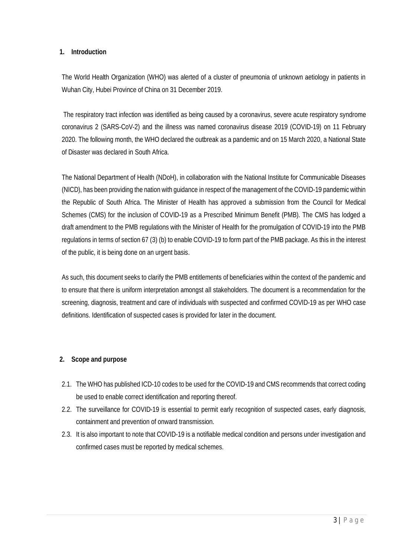## **1. Introduction**

The World Health Organization (WHO) was alerted of a cluster of pneumonia of unknown aetiology in patients in Wuhan City, Hubei Province of China on 31 December 2019.

 The respiratory tract infection was identified as being caused by a coronavirus, severe acute respiratory syndrome coronavirus 2 (SARS-CoV-2) and the illness was named coronavirus disease 2019 (COVID-19) on 11 February 2020. The following month, the WHO declared the outbreak as a pandemic and on 15 March 2020, a National State of Disaster was declared in South Africa.

The National Department of Health (NDoH), in collaboration with the National Institute for Communicable Diseases (NICD), has been providing the nation with guidance in respect of the management of the COVID-19 pandemic within the Republic of South Africa. The Minister of Health has approved a submission from the Council for Medical Schemes (CMS) for the inclusion of COVID-19 as a Prescribed Minimum Benefit (PMB). The CMS has lodged a draft amendment to the PMB regulations with the Minister of Health for the promulgation of COVID-19 into the PMB regulations in terms of section 67 (3) (b) to enable COVID-19 to form part of the PMB package. As this in the interest of the public, it is being done on an urgent basis.

As such, this document seeks to clarify the PMB entitlements of beneficiaries within the context of the pandemic and to ensure that there is uniform interpretation amongst all stakeholders. The document is a recommendation for the screening, diagnosis, treatment and care of individuals with suspected and confirmed COVID-19 as per WHO case definitions. Identification of suspected cases is provided for later in the document.

# **2. Scope and purpose**

- 2.1. The WHO has published ICD-10 codes to be used for the COVID-19 and CMS recommends that correct coding be used to enable correct identification and reporting thereof.
- 2.2. The surveillance for COVID-19 is essential to permit early recognition of suspected cases, early diagnosis, containment and prevention of onward transmission.
- 2.3. It is also important to note that COVID-19 is a notifiable medical condition and persons under investigation and confirmed cases must be reported by medical schemes.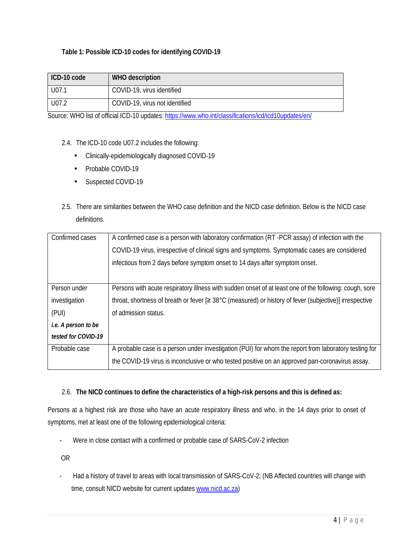# **Table 1: Possible ICD-10 codes for identifying COVID-19**

| ICD-10 code | WHO description                |
|-------------|--------------------------------|
| U07.1       | COVID-19, virus identified     |
| U07.2       | COVID-19, virus not identified |

Source: WHO list of official ICD-10 updates: <https://www.who.int/classifications/icd/icd10updates/en/>

- 2.4. The ICD-10 code U07.2 includes the following:
	- Clinically-epidemiologically diagnosed COVID-19  $\mathcal{L}^{\pm}$
	- Probable COVID-19  $\mathbf{r}$
	- Suspected COVID-19  $\mathcal{L}^{\pm}$
- 2.5. There are similarities between the WHO case definition and the NICD case definition. Below is the NICD case definitions.

| Confirmed cases     | A confirmed case is a person with laboratory confirmation (RT -PCR assay) of infection with the        |
|---------------------|--------------------------------------------------------------------------------------------------------|
|                     | COVID-19 virus, irrespective of clinical signs and symptoms. Symptomatic cases are considered          |
|                     | infectious from 2 days before symptom onset to 14 days after symptom onset.                            |
|                     |                                                                                                        |
| Person under        | Persons with acute respiratory illness with sudden onset of at least one of the following: cough, sore |
| investigation       | throat, shortness of breath or fever [≥ 38°C (measured) or history of fever (subjective)] irrespective |
| (PUI)               | of admission status.                                                                                   |
| i.e. A person to be |                                                                                                        |
| tested for COVID-19 |                                                                                                        |
| Probable case       | A probable case is a person under investigation (PUI) for whom the report from laboratory testing for  |
|                     | the COVID-19 virus is inconclusive or who tested positive on an approved pan-coronavirus assay.        |

2.6. **The NICD continues to define the characteristics of a high-risk persons and this is defined as:**

Persons at a highest risk are those who have an acute respiratory illness and who, in the 14 days prior to onset of symptoms, met at least one of the following epidemiological criteria:

- Were in close contact with a confirmed or probable case of SARS-CoV-2 infection

OR

- Had a history of travel to areas with local transmission of SARS-CoV-2; (NB Affected countries will change with time, consult NICD website for current updates [www.nicd.ac.za\)](http://www.nicd.ac.za/)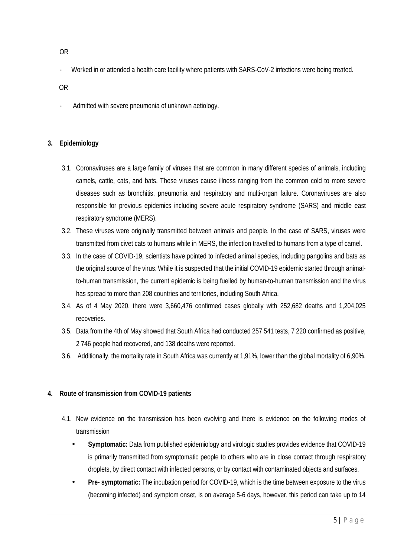- Worked in or attended a health care facility where patients with SARS-CoV-2 infections were being treated.
- OR
- Admitted with severe pneumonia of unknown aetiology.

## **3. Epidemiology**

- 3.1. Coronaviruses are a large family of viruses that are common in many different species of animals, including camels, cattle, cats, and bats. These viruses cause illness ranging from the common cold to more severe diseases such as bronchitis, pneumonia and respiratory and multi-organ failure. Coronaviruses are also responsible for previous epidemics including severe acute respiratory syndrome (SARS) and middle east respiratory syndrome (MERS).
- 3.2. These viruses were originally transmitted between animals and people. In the case of SARS, viruses were transmitted from civet cats to humans while in MERS, the infection travelled to humans from a type of camel.
- 3.3. In the case of COVID-19, scientists have pointed to infected animal species, including pangolins and bats as the original source of the virus. While it is suspected that the initial COVID-19 epidemic started through animalto-human transmission, the current epidemic is being fuelled by human-to-human transmission and the virus has spread to more than 208 countries and territories, including South Africa.
- 3.4. As of 4 May 2020, there were 3,660,476 confirmed cases globally with 252,682 deaths and 1,204,025 recoveries.
- 3.5. Data from the 4th of May showed that South Africa had conducted 257 541 tests, 7 220 confirmed as positive, 2 746 people had recovered, and 138 deaths were reported.
- 3.6. Additionally, the mortality rate in South Africa was currently at 1,91%, lower than the global mortality of 6,90%.
- **4. Route of transmission from COVID-19 patients**
	- 4.1. New evidence on the transmission has been evolving and there is evidence on the following modes of transmission
		- **Symptomatic:** Data from published epidemiology and virologic studies provides evidence that COVID-19 is primarily transmitted from symptomatic people to others who are in close contact through respiratory droplets, by direct contact with infected persons, or by contact with contaminated objects and surfaces.
		- **Pre- symptomatic:** The incubation period for COVID-19, which is the time between exposure to the virus (becoming infected) and symptom onset, is on average 5-6 days, however, this period can take up to 14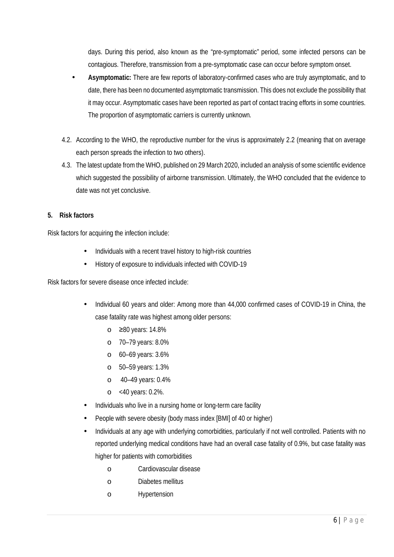days. During this period, also known as the "pre-symptomatic" period, some infected persons can be contagious. Therefore, transmission from a pre-symptomatic case can occur before symptom onset.

- **Asymptomatic:** There are few reports of laboratory-confirmed cases who are truly asymptomatic, and to date, there has been no documented asymptomatic transmission. This does not exclude the possibility that it may occur. Asymptomatic cases have been reported as part of contact tracing efforts in some countries. The proportion of asymptomatic carriers is currently unknown.
- 4.2. According to the WHO, the reproductive number for the virus is approximately 2.2 (meaning that on average each person spreads the infection to two others).
- 4.3. The latest update from the WHO, published on 29 March 2020, included an analysis of some scientific evidence which suggested the possibility of airborne transmission. Ultimately, the WHO concluded that the evidence to date was not yet conclusive.
- **5. Risk factors**

Risk factors for acquiring the infection include:

- Individuals with a recent travel history to high-risk countries
- History of exposure to individuals infected with COVID-19

Risk factors for severe disease once infected include:

- Individual 60 years and older: Among more than 44,000 confirmed cases of COVID-19 in China, the case fatality rate was highest among older persons:
	- o ≥80 years: 14.8%
	- o 70–79 years: 8.0%
	- o 60–69 years: 3.6%
	- o 50–59 years: 1.3%
	- o 40–49 years: 0.4%
	- o <40 years: 0.2%.
- Individuals who live in a nursing home or long-term care facility
- People with severe obesity (body mass index [BMI] of 40 or higher)
- Individuals at any age with underlying comorbidities, particularly if not well controlled. Patients with no reported underlying medical conditions have had an overall case fatality of 0.9%, but case fatality was higher for patients with comorbidities
	- o Cardiovascular disease
	- o Diabetes mellitus
	- o Hypertension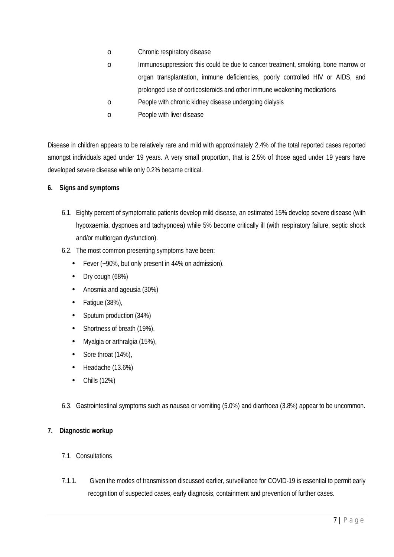- o Chronic respiratory disease
- o Immunosuppression: this could be due to cancer treatment, smoking, bone marrow or organ transplantation, immune deficiencies, poorly controlled HIV or AIDS, and prolonged use of corticosteroids and other immune weakening medications
- o People with chronic kidney disease undergoing dialysis
- o People with liver disease

Disease in children appears to be relatively rare and mild with approximately 2.4% of the total reported cases reported amongst individuals aged under 19 years. A very small proportion, that is 2.5% of those aged under 19 years have developed severe disease while only 0.2% became critical.

- **6. Signs and symptoms**
	- 6.1. Eighty percent of symptomatic patients develop mild disease, an estimated 15% develop severe disease (with hypoxaemia, dyspnoea and tachypnoea) while 5% become critically ill (with respiratory failure, septic shock and/or multiorgan dysfunction).
	- 6.2. The most common presenting symptoms have been:
		- Fever (~90%, but only present in 44% on admission).
		- Dry cough (68%)  $\overline{a}$
		- Anosmia and ageusia (30%)
		- Fatigue (38%),
		- Sputum production (34%) l,
		- $\overline{a}$ Shortness of breath (19%),
		- Myalgia or arthralgia (15%),
		- Sore throat (14%),
		- Headache (13.6%)
		- Chills (12%)
	- 6.3. Gastrointestinal symptoms such as nausea or vomiting (5.0%) and diarrhoea (3.8%) appear to be uncommon.
- **7. Diagnostic workup**
	- 7.1. Consultations
	- 7.1.1. Given the modes of transmission discussed earlier, surveillance for COVID-19 is essential to permit early recognition of suspected cases, early diagnosis, containment and prevention of further cases.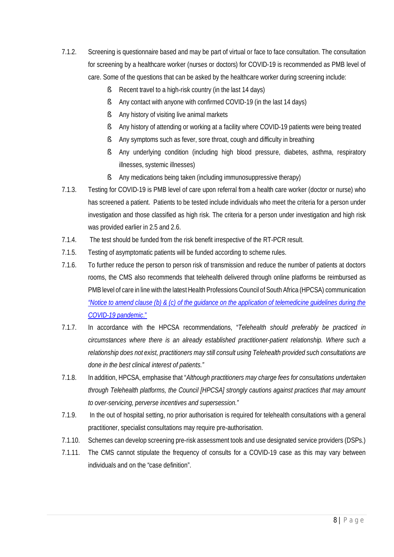- 7.1.2. Screening is questionnaire based and may be part of virtual or face to face consultation. The consultation for screening by a healthcare worker (nurses or doctors) for COVID-19 is recommended as PMB level of care. Some of the questions that can be asked by the healthcare worker during screening include:
	- § Recent travel to a high-risk country (in the last 14 days)
	- § Any contact with anyone with confirmed COVID-19 (in the last 14 days)
	- § Any history of visiting live animal markets
	- § Any history of attending or working at a facility where COVID-19 patients were being treated
	- § Any symptoms such as fever, sore throat, cough and difficulty in breathing
	- § Any underlying condition (including high blood pressure, diabetes, asthma, respiratory illnesses, systemic illnesses)
	- § Any medications being taken (including immunosuppressive therapy)
- 7.1.3. Testing for COVID-19 is PMB level of care upon referral from a health care worker (doctor or nurse) who has screened a patient. Patients to be tested include individuals who meet the criteria for a person under investigation and those classified as high risk. The criteria for a person under investigation and high risk was provided earlier in 2.5 and 2.6.
- 7.1.4. The test should be funded from the risk benefit irrespective of the RT-PCR result.
- 7.1.5. Testing of asymptomatic patients will be funded according to scheme rules.
- 7.1.6. To further reduce the person to person risk of transmission and reduce the number of patients at doctors rooms, the CMS also recommends that telehealth delivered through online platforms be reimbursed as PMB level of care in line with the latest Health Professions Council of South Africa (HPCSA) communication *["Notice to amend clause \(b\) & \(c\) of the guidance on the application of telemedicine guidelines during the](https://www.hpcsa-blogs.co.za/notice-to-amend-telemedicine-guidelines-during-covid-19/) [COVID-19 pandemic](https://www.hpcsa-blogs.co.za/notice-to-amend-telemedicine-guidelines-during-covid-19/)*."
- 7.1.7. In accordance with the HPCSA recommendations, "*Telehealth should preferably be practiced in circumstances where there is an already established practitioner-patient relationship. Where such a relationship does not exist, practitioners may still consult using Telehealth provided such consultations are done in the best clinical interest of patients."*
- 7.1.8. In addition, HPCSA, emphasise that "*Although practitioners may charge fees for consultations undertaken through Telehealth platforms, the Council [HPCSA] strongly cautions against practices that may amount to over-servicing, perverse incentives and supersession."*
- 7.1.9. In the out of hospital setting, no prior authorisation is required for telehealth consultations with a general practitioner, specialist consultations may require pre-authorisation.
- 7.1.10. Schemes can develop screening pre-risk assessment tools and use designated service providers (DSPs.)
- 7.1.11. The CMS cannot stipulate the frequency of consults for a COVID-19 case as this may vary between individuals and on the "case definition".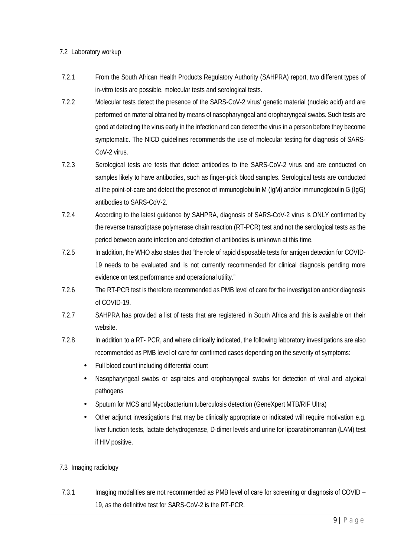# 7.2 Laboratory workup

- 7.2.1 From the South African Health Products Regulatory Authority (SAHPRA) report, two different types of in-vitro tests are possible, molecular tests and serological tests.
- 7.2.2 Molecular tests detect the presence of the SARS-CoV-2 virus' genetic material (nucleic acid) and are performed on material obtained by means of nasopharyngeal and oropharyngeal swabs. Such tests are good at detecting the virus early in the infection and can detect the virus in a person before they become symptomatic. The NICD guidelines recommends the use of molecular testing for diagnosis of SARS-CoV-2 virus.
- 7.2.3 Serological tests are tests that detect antibodies to the SARS-CoV-2 virus and are conducted on samples likely to have antibodies, such as finger-pick blood samples. Serological tests are conducted at the point-of-care and detect the presence of immunoglobulin M (IgM) and/or immunoglobulin G (IgG) antibodies to SARS-CoV-2.
- 7.2.4 According to the latest guidance by SAHPRA, diagnosis of SARS-CoV-2 virus is ONLY confirmed by the reverse transcriptase polymerase chain reaction (RT-PCR) test and not the serological tests as the period between acute infection and detection of antibodies is unknown at this time.
- 7.2.5 In addition, the WHO also states that "the role of rapid disposable tests for antigen detection for COVID-19 needs to be evaluated and is not currently recommended for clinical diagnosis pending more evidence on test performance and operational utility."
- 7.2.6 The RT-PCR test is therefore recommended as PMB level of care for the investigation and/or diagnosis of COVID-19.
- 7.2.7 SAHPRA has provided a list of tests that are registered in South Africa and this is available on their website.
- 7.2.8 In addition to a RT- PCR, and where clinically indicated, the following laboratory investigations are also recommended as PMB level of care for confirmed cases depending on the severity of symptoms:
	- Full blood count including differential count
	- Nasopharyngeal swabs or aspirates and oropharyngeal swabs for detection of viral and atypical pathogens
	- Sputum for MCS and Mycobacterium tuberculosis detection (GeneXpert MTB/RIF Ultra)
	- Other adjunct investigations that may be clinically appropriate or indicated will require motivation e.g. liver function tests, lactate dehydrogenase, D-dimer levels and urine for lipoarabinomannan (LAM) test if HIV positive.

# 7.3 Imaging radiology

7.3.1 Imaging modalities are not recommended as PMB level of care for screening or diagnosis of COVID – 19, as the definitive test for SARS-CoV-2 is the RT-PCR.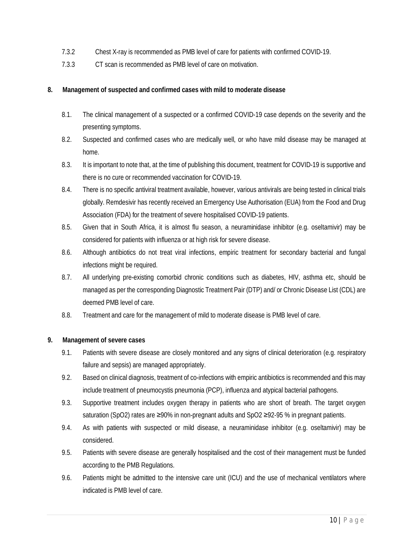- 7.3.2 Chest X-ray is recommended as PMB level of care for patients with confirmed COVID-19.
- 7.3.3 CT scan is recommended as PMB level of care on motivation.
- **8. Management of suspected and confirmed cases with mild to moderate disease**
	- 8.1. The clinical management of a suspected or a confirmed COVID-19 case depends on the severity and the presenting symptoms.
	- 8.2. Suspected and confirmed cases who are medically well, or who have mild disease may be managed at home.
	- 8.3. It is important to note that, at the time of publishing this document, treatment for COVID-19 is supportive and there is no cure or recommended vaccination for COVID-19.
	- 8.4. There is no specific antiviral treatment available, however, various antivirals are being tested in clinical trials globally. Remdesivir has recently received an Emergency Use Authorisation (EUA) from the Food and Drug Association (FDA) for the treatment of severe hospitalised COVID-19 patients.
	- 8.5. Given that in South Africa, it is almost flu season, a neuraminidase inhibitor (e.g. oseltamivir) may be considered for patients with influenza or at high risk for severe disease.
	- 8.6. Although antibiotics do not treat viral infections, empiric treatment for secondary bacterial and fungal infections might be required.
	- 8.7. All underlying pre-existing comorbid chronic conditions such as diabetes, HIV, asthma etc, should be managed as per the corresponding Diagnostic Treatment Pair (DTP) and/ or Chronic Disease List (CDL) are deemed PMB level of care.
	- 8.8. Treatment and care for the management of mild to moderate disease is PMB level of care.
- **9. Management of severe cases**
	- 9.1. Patients with severe disease are closely monitored and any signs of clinical deterioration (e.g. respiratory failure and sepsis) are managed appropriately.
	- 9.2. Based on clinical diagnosis, treatment of co-infections with empiric antibiotics is recommended and this may include treatment of pneumocystis pneumonia (PCP), influenza and atypical bacterial pathogens.
	- 9.3. Supportive treatment includes oxygen therapy in patients who are short of breath. The target oxygen saturation (SpO2) rates are ≥90% in non-pregnant adults and SpO2 ≥92-95 % in pregnant patients.
	- 9.4. As with patients with suspected or mild disease, a neuraminidase inhibitor (e.g. oseltamivir) may be considered.
	- 9.5. Patients with severe disease are generally hospitalised and the cost of their management must be funded according to the PMB Regulations.
	- 9.6. Patients might be admitted to the intensive care unit (ICU) and the use of mechanical ventilators where indicated is PMB level of care.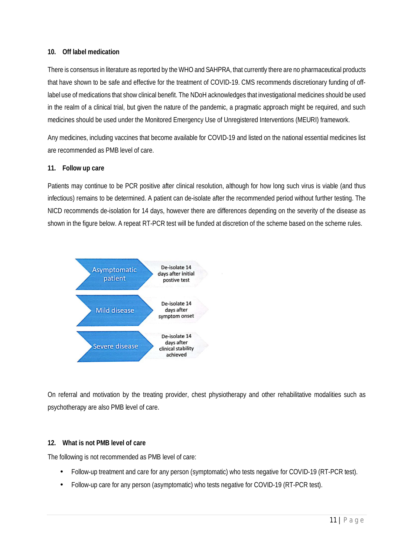### **10. Off label medication**

There is consensus in literature as reported by the WHO and SAHPRA, that currently there are no pharmaceutical products that have shown to be safe and effective for the treatment of COVID-19. CMS recommends discretionary funding of offlabel use of medications that show clinical benefit. The NDoH acknowledges that investigational medicines should be used in the realm of a clinical trial, but given the nature of the pandemic, a pragmatic approach might be required, and such medicines should be used under the Monitored Emergency Use of Unregistered Interventions (MEURI) framework.

Any medicines, including vaccines that become available for COVID-19 and listed on the national essential medicines list are recommended as PMB level of care.

# **11. Follow up care**

Patients may continue to be PCR positive after clinical resolution, although for how long such virus is viable (and thus infectious) remains to be determined. A patient can de-isolate after the recommended period without further testing. The NICD recommends de-isolation for 14 days, however there are differences depending on the severity of the disease as shown in the figure below. A repeat RT-PCR test will be funded at discretion of the scheme based on the scheme rules.



On referral and motivation by the treating provider, chest physiotherapy and other rehabilitative modalities such as psychotherapy are also PMB level of care.

# **12. What is not PMB level of care**

The following is not recommended as PMB level of care:

- Follow-up treatment and care for any person (symptomatic) who tests negative for COVID-19 (RT-PCR test).
- Follow-up care for any person (asymptomatic) who tests negative for COVID-19 (RT-PCR test).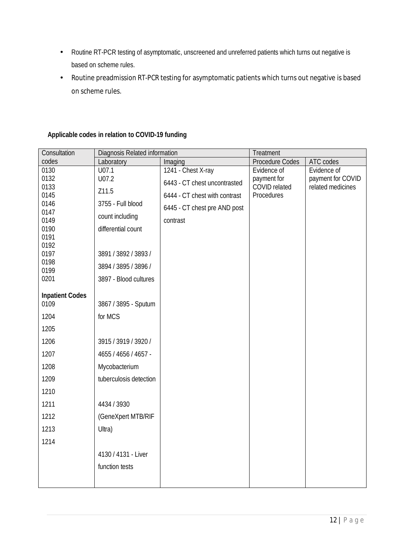- Routine RT-PCR testing of asymptomatic, unscreened and unreferred patients which turns out negative is  $\mathbb{R}^2$ based on scheme rules.
- Routine preadmission RT-PCR testing for asymptomatic patients which turns out negative is based  $\mathcal{L}^{\text{max}}$ on scheme rules.

| Consultation           | Diagnosis Related information |                               | Treatment                    |                                        |
|------------------------|-------------------------------|-------------------------------|------------------------------|----------------------------------------|
| codes                  | Laboratory                    | Imaging                       | Procedure Codes              | ATC codes                              |
| 0130                   | U07.1                         | 1241 - Chest X-ray            | Evidence of                  | Evidence of                            |
| 0132<br>0133           | U07.2                         | 6443 - CT chest uncontrasted  | payment for<br>COVID related | payment for COVID<br>related medicines |
| 0145                   | Z11.5                         | 6444 - CT chest with contrast | Procedures                   |                                        |
| 0146                   | 3755 - Full blood             | 6445 - CT chest pre AND post  |                              |                                        |
| 0147                   | count including               |                               |                              |                                        |
| 0149                   |                               | contrast                      |                              |                                        |
| 0190<br>0191           | differential count            |                               |                              |                                        |
| 0192                   |                               |                               |                              |                                        |
| 0197                   | 3891 / 3892 / 3893 /          |                               |                              |                                        |
| 0198                   | 3894 / 3895 / 3896 /          |                               |                              |                                        |
| 0199                   |                               |                               |                              |                                        |
| 0201                   | 3897 - Blood cultures         |                               |                              |                                        |
| <b>Inpatient Codes</b> |                               |                               |                              |                                        |
| 0109                   | 3867 / 3895 - Sputum          |                               |                              |                                        |
| 1204                   | for MCS                       |                               |                              |                                        |
| 1205                   |                               |                               |                              |                                        |
| 1206                   | 3915 / 3919 / 3920 /          |                               |                              |                                        |
| 1207                   | 4655 / 4656 / 4657 -          |                               |                              |                                        |
| 1208                   | Mycobacterium                 |                               |                              |                                        |
| 1209                   | tuberculosis detection        |                               |                              |                                        |
| 1210                   |                               |                               |                              |                                        |
| 1211                   | 4434 / 3930                   |                               |                              |                                        |
| 1212                   | (GeneXpert MTB/RIF            |                               |                              |                                        |
| 1213                   | Ultra)                        |                               |                              |                                        |
| 1214                   |                               |                               |                              |                                        |
|                        | 4130 / 4131 - Liver           |                               |                              |                                        |
|                        | function tests                |                               |                              |                                        |
|                        |                               |                               |                              |                                        |
|                        |                               |                               |                              |                                        |

**Applicable codes in relation to COVID-19 funding**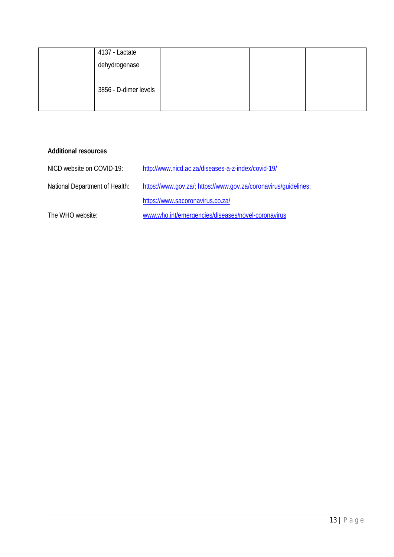| 4137 - Lactate        |  |  |
|-----------------------|--|--|
| dehydrogenase         |  |  |
|                       |  |  |
| 3856 - D-dimer levels |  |  |

**Additional resources**

| NICD website on COVID-19:      | http://www.nicd.ac.za/diseases-a-z-index/covid-19/              |
|--------------------------------|-----------------------------------------------------------------|
| National Department of Health: | https://www.gov.za/; https://www.gov.za/coronavirus/guidelines; |
|                                | https://www.sacoronavirus.co.za/                                |
| The WHO website:               | www.who.int/emergencies/diseases/novel-coronavirus              |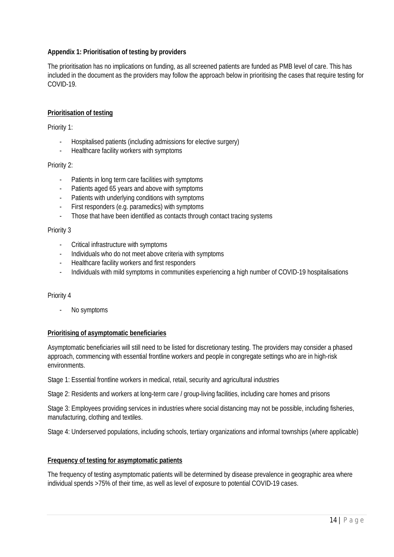### **Appendix 1: Prioritisation of testing by providers**

The prioritisation has no implications on funding, as all screened patients are funded as PMB level of care. This has included in the document as the providers may follow the approach below in prioritising the cases that require testing for COVID-19.

## **Prioritisation of testing**

Priority 1:

- Hospitalised patients (including admissions for elective surgery)
- Healthcare facility workers with symptoms

#### Priority 2:

- Patients in long term care facilities with symptoms
- Patients aged 65 years and above with symptoms
- Patients with underlying conditions with symptoms
- First responders (e.g. paramedics) with symptoms
- Those that have been identified as contacts through contact tracing systems

#### Priority 3

- Critical infrastructure with symptoms
- Individuals who do not meet above criteria with symptoms
- Healthcare facility workers and first responders
- Individuals with mild symptoms in communities experiencing a high number of COVID-19 hospitalisations

#### Priority 4

No symptoms

#### **Prioritising of asymptomatic beneficiaries**

Asymptomatic beneficiaries will still need to be listed for discretionary testing. The providers may consider a phased approach, commencing with essential frontline workers and people in congregate settings who are in high-risk environments.

Stage 1: Essential frontline workers in medical, retail, security and agricultural industries

Stage 2: Residents and workers at long-term care / group-living facilities, including care homes and prisons

Stage 3: Employees providing services in industries where social distancing may not be possible, including fisheries, manufacturing, clothing and textiles.

Stage 4: Underserved populations, including schools, tertiary organizations and informal townships (where applicable)

#### **Frequency of testing for asymptomatic patients**

The frequency of testing asymptomatic patients will be determined by disease prevalence in geographic area where individual spends >75% of their time, as well as level of exposure to potential COVID-19 cases.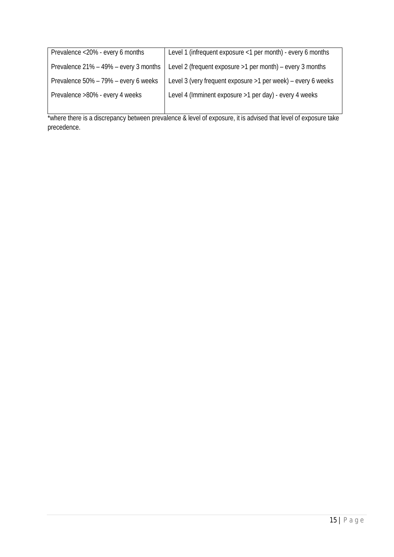| Prevalence <20% - every 6 months      | Level 1 (infrequent exposure <1 per month) - every 6 months   |
|---------------------------------------|---------------------------------------------------------------|
| Prevalence 21% - 49% - every 3 months | Level 2 (frequent exposure >1 per month) - every 3 months     |
| Prevalence 50% - 79% - every 6 weeks  | Level 3 (very frequent exposure > 1 per week) - every 6 weeks |
| Prevalence >80% - every 4 weeks       | Level 4 (Imminent exposure > 1 per day) - every 4 weeks       |
|                                       |                                                               |

\*where there is a discrepancy between prevalence & level of exposure, it is advised that level of exposure take precedence.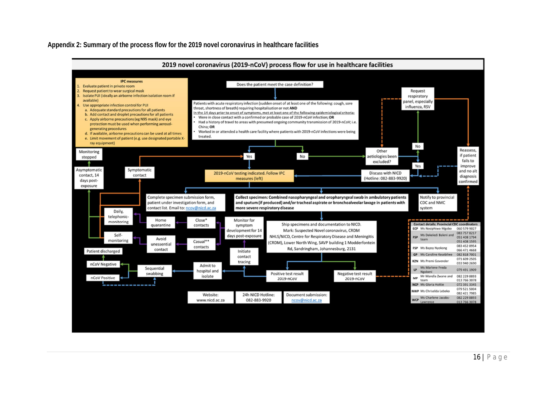**Appendix 2: Summary of the process flow for the 2019 novel coronavirus in healthcare facilities**